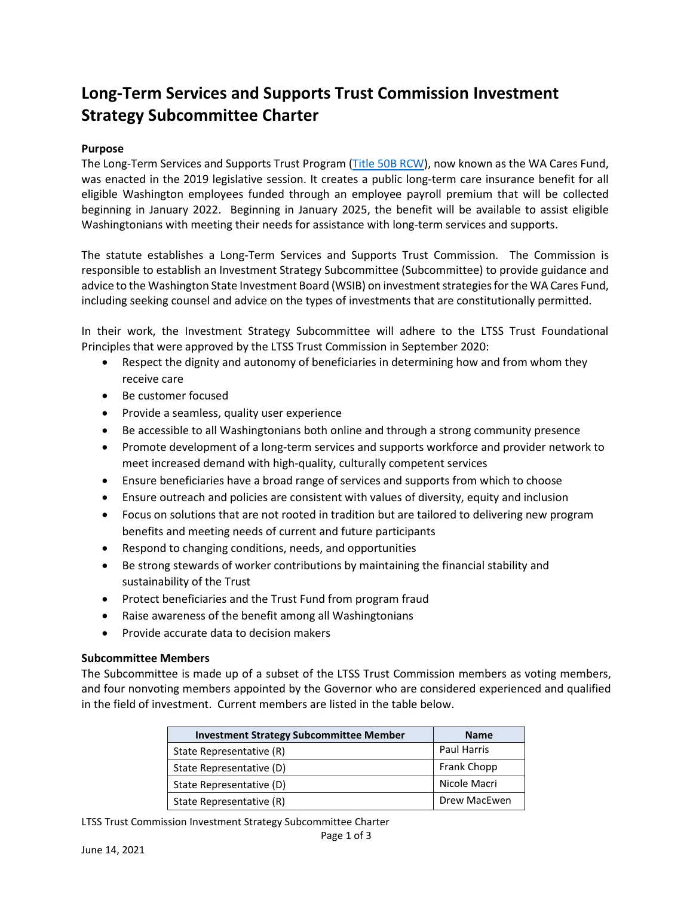# **Long-Term Services and Supports Trust Commission Investment Strategy Subcommittee Charter**

## **Purpose**

The Long-Term Services and Supports Trust Program [\(Title 50B RCW\)](https://app.leg.wa.gov/rcw/default.aspx?Cite=50B), now known as the WA Cares Fund, was enacted in the 2019 legislative session. It creates a public long-term care insurance benefit for all eligible Washington employees funded through an employee payroll premium that will be collected beginning in January 2022. Beginning in January 2025, the benefit will be available to assist eligible Washingtonians with meeting their needs for assistance with long-term services and supports.

The statute establishes a Long-Term Services and Supports Trust Commission. The Commission is responsible to establish an Investment Strategy Subcommittee (Subcommittee) to provide guidance and advice to the Washington State Investment Board (WSIB) on investment strategies for the WA Cares Fund, including seeking counsel and advice on the types of investments that are constitutionally permitted.

In their work, the Investment Strategy Subcommittee will adhere to the LTSS Trust Foundational Principles that were approved by the LTSS Trust Commission in September 2020:

- Respect the dignity and autonomy of beneficiaries in determining how and from whom they receive care
- Be customer focused
- Provide a seamless, quality user experience
- Be accessible to all Washingtonians both online and through a strong community presence
- Promote development of a long-term services and supports workforce and provider network to meet increased demand with high-quality, culturally competent services
- Ensure beneficiaries have a broad range of services and supports from which to choose
- Ensure outreach and policies are consistent with values of diversity, equity and inclusion
- Focus on solutions that are not rooted in tradition but are tailored to delivering new program benefits and meeting needs of current and future participants
- Respond to changing conditions, needs, and opportunities
- Be strong stewards of worker contributions by maintaining the financial stability and sustainability of the Trust
- Protect beneficiaries and the Trust Fund from program fraud
- Raise awareness of the benefit among all Washingtonians
- Provide accurate data to decision makers

## **Subcommittee Members**

The Subcommittee is made up of a subset of the LTSS Trust Commission members as voting members, and four nonvoting members appointed by the Governor who are considered experienced and qualified in the field of investment. Current members are listed in the table below.

| <b>Investment Strategy Subcommittee Member</b> | <b>Name</b>        |
|------------------------------------------------|--------------------|
| State Representative (R)                       | <b>Paul Harris</b> |
| State Representative (D)                       | <b>Frank Chopp</b> |
| State Representative (D)                       | Nicole Macri       |
| State Representative (R)                       | Drew MacEwen       |

LTSS Trust Commission Investment Strategy Subcommittee Charter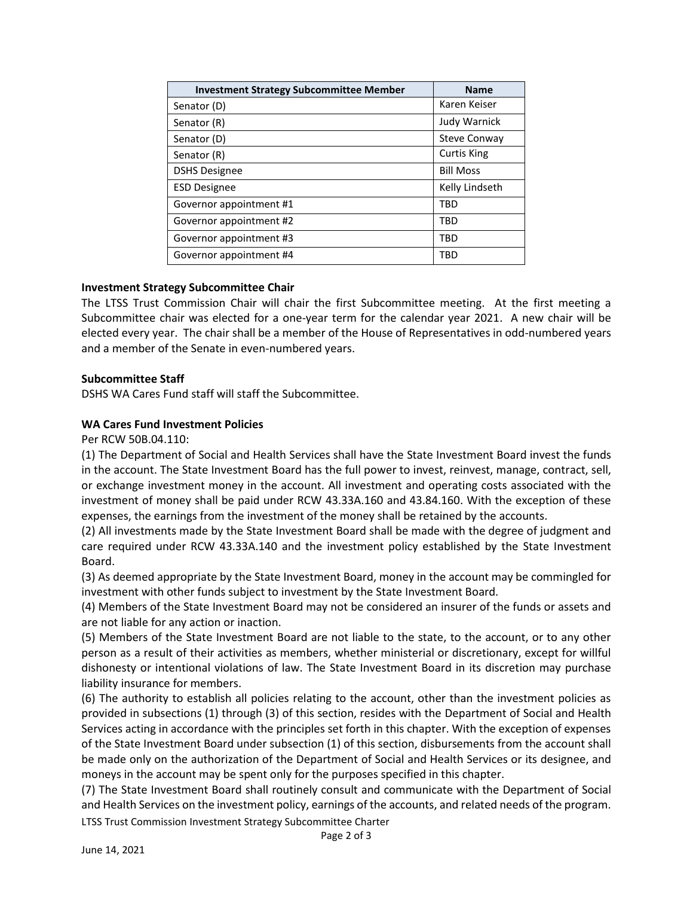| <b>Investment Strategy Subcommittee Member</b> | <b>Name</b>         |
|------------------------------------------------|---------------------|
| Senator (D)                                    | Karen Keiser        |
| Senator (R)                                    | <b>Judy Warnick</b> |
| Senator (D)                                    | <b>Steve Conway</b> |
| Senator (R)                                    | <b>Curtis King</b>  |
| <b>DSHS Designee</b>                           | <b>Bill Moss</b>    |
| <b>ESD Designee</b>                            | Kelly Lindseth      |
| Governor appointment #1                        | <b>TRD</b>          |
| Governor appointment #2                        | <b>TRD</b>          |
| Governor appointment #3                        | <b>TBD</b>          |
| Governor appointment #4                        | <b>TRD</b>          |

## **Investment Strategy Subcommittee Chair**

The LTSS Trust Commission Chair will chair the first Subcommittee meeting. At the first meeting a Subcommittee chair was elected for a one-year term for the calendar year 2021. A new chair will be elected every year. The chair shall be a member of the House of Representatives in odd-numbered years and a member of the Senate in even-numbered years.

## **Subcommittee Staff**

DSHS WA Cares Fund staff will staff the Subcommittee.

# **WA Cares Fund Investment Policies**

Per RCW 50B.04.110:

(1) The Department of Social and Health Services shall have the State Investment Board invest the funds in the account. The State Investment Board has the full power to invest, reinvest, manage, contract, sell, or exchange investment money in the account. All investment and operating costs associated with the investment of money shall be paid under RCW [43.33A.160](http://app.leg.wa.gov/RCW/default.aspx?cite=43.33A.160) and [43.84.160.](http://app.leg.wa.gov/RCW/default.aspx?cite=43.84.160) With the exception of these expenses, the earnings from the investment of the money shall be retained by the accounts.

(2) All investments made by the State Investment Board shall be made with the degree of judgment and care required under RCW [43.33A.140](http://app.leg.wa.gov/RCW/default.aspx?cite=43.33A.140) and the investment policy established by the State Investment Board.

(3) As deemed appropriate by the State Investment Board, money in the account may be commingled for investment with other funds subject to investment by the State Investment Board.

(4) Members of the State Investment Board may not be considered an insurer of the funds or assets and are not liable for any action or inaction.

(5) Members of the State Investment Board are not liable to the state, to the account, or to any other person as a result of their activities as members, whether ministerial or discretionary, except for willful dishonesty or intentional violations of law. The State Investment Board in its discretion may purchase liability insurance for members.

(6) The authority to establish all policies relating to the account, other than the investment policies as provided in subsections (1) through (3) of this section, resides with the Department of Social and Health Services acting in accordance with the principles set forth in this chapter. With the exception of expenses of the State Investment Board under subsection (1) of this section, disbursements from the account shall be made only on the authorization of the Department of Social and Health Services or its designee, and moneys in the account may be spent only for the purposes specified in this chapter.

(7) The State Investment Board shall routinely consult and communicate with the Department of Social and Health Services on the investment policy, earnings of the accounts, and related needs of the program.

LTSS Trust Commission Investment Strategy Subcommittee Charter